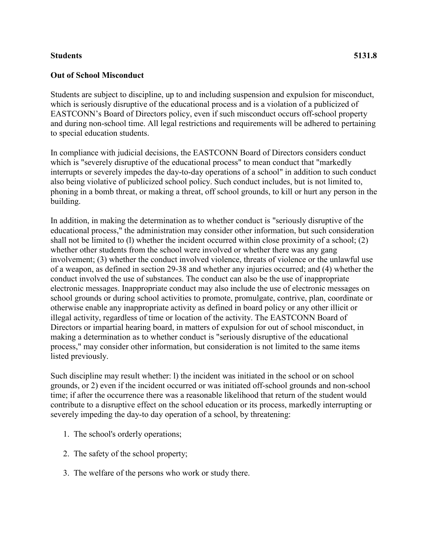## **Students 5131.8**

## **Out of School Misconduct**

Students are subject to discipline, up to and including suspension and expulsion for misconduct, which is seriously disruptive of the educational process and is a violation of a publicized of EASTCONN's Board of Directors policy, even if such misconduct occurs off-school property and during non-school time. All legal restrictions and requirements will be adhered to pertaining to special education students.

In compliance with judicial decisions, the EASTCONN Board of Directors considers conduct which is "severely disruptive of the educational process" to mean conduct that "markedly interrupts or severely impedes the day-to-day operations of a school" in addition to such conduct also being violative of publicized school policy. Such conduct includes, but is not limited to, phoning in a bomb threat, or making a threat, off school grounds, to kill or hurt any person in the building.

In addition, in making the determination as to whether conduct is "seriously disruptive of the educational process," the administration may consider other information, but such consideration shall not be limited to (l) whether the incident occurred within close proximity of a school; (2) whether other students from the school were involved or whether there was any gang involvement; (3) whether the conduct involved violence, threats of violence or the unlawful use of a weapon, as defined in section 29-38 and whether any injuries occurred; and (4) whether the conduct involved the use of substances. The conduct can also be the use of inappropriate electronic messages. Inappropriate conduct may also include the use of electronic messages on school grounds or during school activities to promote, promulgate, contrive, plan, coordinate or otherwise enable any inappropriate activity as defined in board policy or any other illicit or illegal activity, regardless of time or location of the activity. The EASTCONN Board of Directors or impartial hearing board, in matters of expulsion for out of school misconduct, in making a determination as to whether conduct is "seriously disruptive of the educational process," may consider other information, but consideration is not limited to the same items listed previously.

Such discipline may result whether: l) the incident was initiated in the school or on school grounds, or 2) even if the incident occurred or was initiated off-school grounds and non-school time; if after the occurrence there was a reasonable likelihood that return of the student would contribute to a disruptive effect on the school education or its process, markedly interrupting or severely impeding the day-to day operation of a school, by threatening:

- 1. The school's orderly operations;
- 2. The safety of the school property;
- 3. The welfare of the persons who work or study there.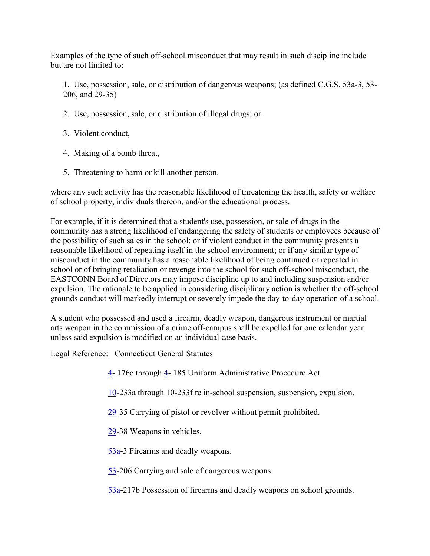Examples of the type of such off-school misconduct that may result in such discipline include but are not limited to:

1. Use, possession, sale, or distribution of dangerous weapons; (as defined C.G.S. 53a-3, 53- 206, and 29-35)

- 2. Use, possession, sale, or distribution of illegal drugs; or
- 3. Violent conduct,
- 4. Making of a bomb threat,
- 5. Threatening to harm or kill another person.

where any such activity has the reasonable likelihood of threatening the health, safety or welfare of school property, individuals thereon, and/or the educational process.

For example, if it is determined that a student's use, possession, or sale of drugs in the community has a strong likelihood of endangering the safety of students or employees because of the possibility of such sales in the school; or if violent conduct in the community presents a reasonable likelihood of repeating itself in the school environment; or if any similar type of misconduct in the community has a reasonable likelihood of being continued or repeated in school or of bringing retaliation or revenge into the school for such off-school misconduct, the EASTCONN Board of Directors may impose discipline up to and including suspension and/or expulsion. The rationale to be applied in considering disciplinary action is whether the off-school grounds conduct will markedly interrupt or severely impede the day-to-day operation of a school.

A student who possessed and used a firearm, deadly weapon, dangerous instrument or martial arts weapon in the commission of a crime off-campus shall be expelled for one calendar year unless said expulsion is modified on an individual case basis.

Legal Reference: Connecticut General Statutes

- [4-](http://www.cga.ct.gov/2011/pub/Title4.htm) 176e through [4-](http://www.cga.ct.gov/2011/pub/Title4.htm) 185 Uniform Administrative Procedure Act.
- [10-](http://www.cga.ct.gov/2011/pub/Title10.htm)233a through 10-233f re in-school suspension, suspension, expulsion.
- [29-](http://www.cga.ct.gov/2011/pub/Title29.htm)35 Carrying of pistol or revolver without permit prohibited.
- [29-](http://www.cga.ct.gov/2011/pub/Title29.htm)38 Weapons in vehicles.
- [53a-](http://www.cga.ct.gov/2011/pub/Title53a.htm)3 Firearms and deadly weapons.
- [53-](http://www.cga.ct.gov/2011/pub/Title53.htm)206 Carrying and sale of dangerous weapons.
- [53a-](http://www.cga.ct.gov/2011/pub/Title53a.htm)217b Possession of firearms and deadly weapons on school grounds.